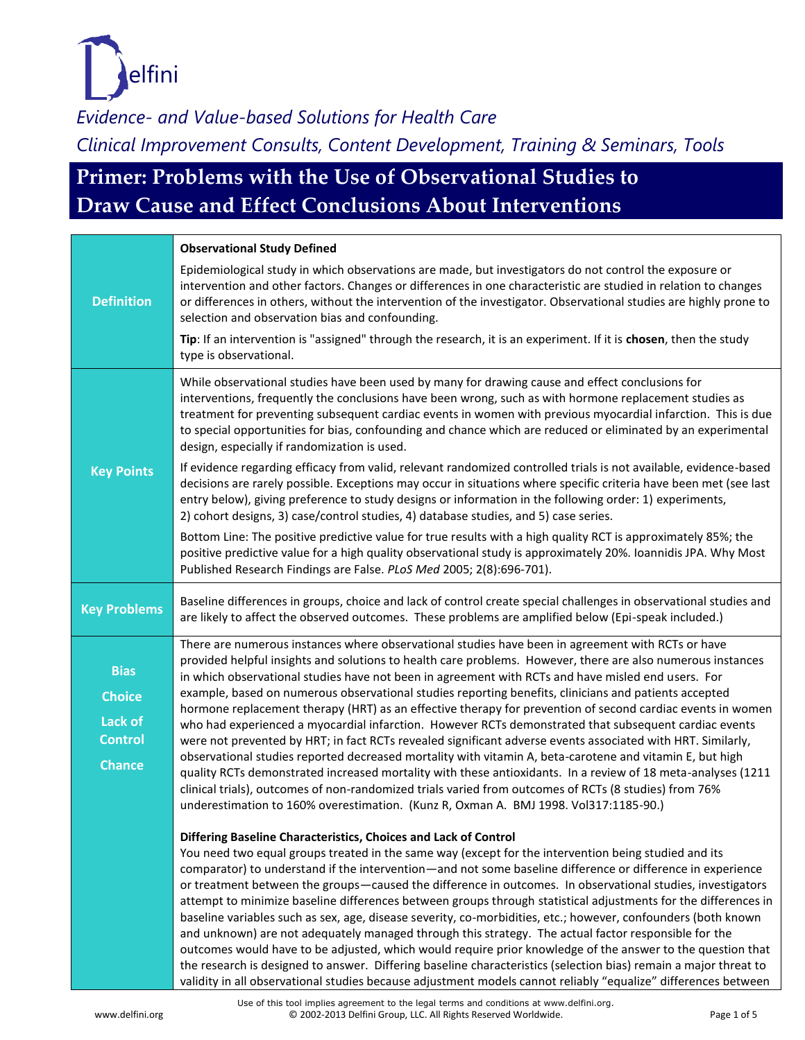

# **Primer: Problems with the Use of Observational Studies to Draw Cause and Effect Conclusions About Interventions**

|                                                                            | <b>Observational Study Defined</b>                                                                                                                                                                                                                                                                                                                                                                                                                                                                                                                                                                                                                                                                                                                                                                                                                                                                                                                                                                                                                                                                                                                                                                 |
|----------------------------------------------------------------------------|----------------------------------------------------------------------------------------------------------------------------------------------------------------------------------------------------------------------------------------------------------------------------------------------------------------------------------------------------------------------------------------------------------------------------------------------------------------------------------------------------------------------------------------------------------------------------------------------------------------------------------------------------------------------------------------------------------------------------------------------------------------------------------------------------------------------------------------------------------------------------------------------------------------------------------------------------------------------------------------------------------------------------------------------------------------------------------------------------------------------------------------------------------------------------------------------------|
| <b>Definition</b>                                                          | Epidemiological study in which observations are made, but investigators do not control the exposure or<br>intervention and other factors. Changes or differences in one characteristic are studied in relation to changes<br>or differences in others, without the intervention of the investigator. Observational studies are highly prone to<br>selection and observation bias and confounding.                                                                                                                                                                                                                                                                                                                                                                                                                                                                                                                                                                                                                                                                                                                                                                                                  |
|                                                                            | Tip: If an intervention is "assigned" through the research, it is an experiment. If it is chosen, then the study<br>type is observational.                                                                                                                                                                                                                                                                                                                                                                                                                                                                                                                                                                                                                                                                                                                                                                                                                                                                                                                                                                                                                                                         |
|                                                                            | While observational studies have been used by many for drawing cause and effect conclusions for<br>interventions, frequently the conclusions have been wrong, such as with hormone replacement studies as<br>treatment for preventing subsequent cardiac events in women with previous myocardial infarction. This is due<br>to special opportunities for bias, confounding and chance which are reduced or eliminated by an experimental<br>design, especially if randomization is used.                                                                                                                                                                                                                                                                                                                                                                                                                                                                                                                                                                                                                                                                                                          |
| <b>Key Points</b>                                                          | If evidence regarding efficacy from valid, relevant randomized controlled trials is not available, evidence-based<br>decisions are rarely possible. Exceptions may occur in situations where specific criteria have been met (see last<br>entry below), giving preference to study designs or information in the following order: 1) experiments,<br>2) cohort designs, 3) case/control studies, 4) database studies, and 5) case series.                                                                                                                                                                                                                                                                                                                                                                                                                                                                                                                                                                                                                                                                                                                                                          |
|                                                                            | Bottom Line: The positive predictive value for true results with a high quality RCT is approximately 85%; the<br>positive predictive value for a high quality observational study is approximately 20%. Ioannidis JPA. Why Most<br>Published Research Findings are False. PLoS Med 2005; 2(8):696-701).                                                                                                                                                                                                                                                                                                                                                                                                                                                                                                                                                                                                                                                                                                                                                                                                                                                                                            |
| <b>Key Problems</b>                                                        | Baseline differences in groups, choice and lack of control create special challenges in observational studies and<br>are likely to affect the observed outcomes. These problems are amplified below (Epi-speak included.)                                                                                                                                                                                                                                                                                                                                                                                                                                                                                                                                                                                                                                                                                                                                                                                                                                                                                                                                                                          |
| <b>Bias</b><br><b>Choice</b><br>Lack of<br><b>Control</b><br><b>Chance</b> | There are numerous instances where observational studies have been in agreement with RCTs or have<br>provided helpful insights and solutions to health care problems. However, there are also numerous instances<br>in which observational studies have not been in agreement with RCTs and have misled end users. For<br>example, based on numerous observational studies reporting benefits, clinicians and patients accepted<br>hormone replacement therapy (HRT) as an effective therapy for prevention of second cardiac events in women<br>who had experienced a myocardial infarction. However RCTs demonstrated that subsequent cardiac events<br>were not prevented by HRT; in fact RCTs revealed significant adverse events associated with HRT. Similarly,<br>observational studies reported decreased mortality with vitamin A, beta-carotene and vitamin E, but high<br>quality RCTs demonstrated increased mortality with these antioxidants. In a review of 18 meta-analyses (1211<br>clinical trials), outcomes of non-randomized trials varied from outcomes of RCTs (8 studies) from 76%<br>underestimation to 160% overestimation. (Kunz R, Oxman A. BMJ 1998. Vol317:1185-90.) |
|                                                                            | Differing Baseline Characteristics, Choices and Lack of Control<br>You need two equal groups treated in the same way (except for the intervention being studied and its<br>comparator) to understand if the intervention—and not some baseline difference or difference in experience<br>or treatment between the groups-caused the difference in outcomes. In observational studies, investigators<br>attempt to minimize baseline differences between groups through statistical adjustments for the differences in<br>baseline variables such as sex, age, disease severity, co-morbidities, etc.; however, confounders (both known<br>and unknown) are not adequately managed through this strategy. The actual factor responsible for the<br>outcomes would have to be adjusted, which would require prior knowledge of the answer to the question that<br>the research is designed to answer. Differing baseline characteristics (selection bias) remain a major threat to<br>validity in all observational studies because adjustment models cannot reliably "equalize" differences between                                                                                                 |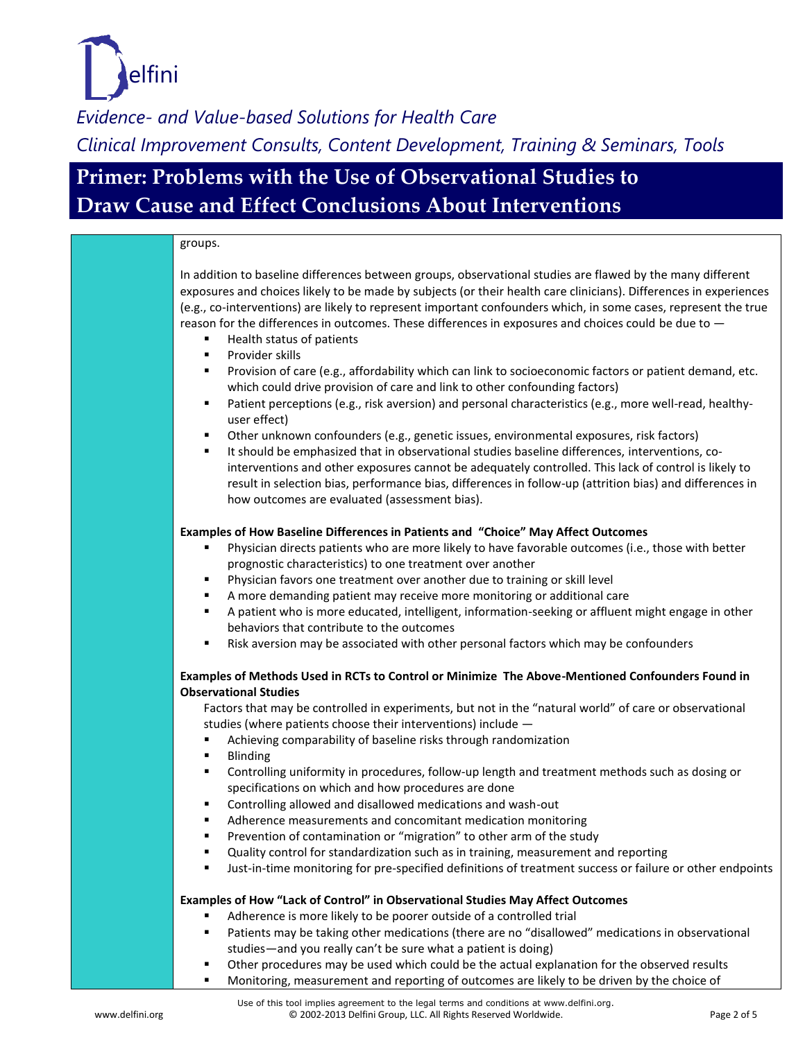

### **Primer: Problems with the Use of Observational Studies to Draw Cause and Effect Conclusions About Interventions**

#### groups. In addition to baseline differences between groups, observational studies are flawed by the many different exposures and choices likely to be made by subjects (or their health care clinicians). Differences in experiences (e.g., co-interventions) are likely to represent important confounders which, in some cases, represent the true reason for the differences in outcomes. These differences in exposures and choices could be due to — Health status of patients **Provider skills**  Provision of care (e.g., affordability which can link to socioeconomic factors or patient demand, etc. which could drive provision of care and link to other confounding factors) Patient perceptions (e.g., risk aversion) and personal characteristics (e.g., more well-read, healthyuser effect) Other unknown confounders (e.g., genetic issues, environmental exposures, risk factors) It should be emphasized that in observational studies baseline differences, interventions, cointerventions and other exposures cannot be adequately controlled. This lack of control is likely to result in selection bias, performance bias, differences in follow-up (attrition bias) and differences in how outcomes are evaluated (assessment bias). **Examples of How Baseline Differences in Patients and "Choice" May Affect Outcomes** Physician directs patients who are more likely to have favorable outcomes (i.e., those with better prognostic characteristics) to one treatment over another Physician favors one treatment over another due to training or skill level A more demanding patient may receive more monitoring or additional care A patient who is more educated, intelligent, information-seeking or affluent might engage in other behaviors that contribute to the outcomes **EXECT** Risk aversion may be associated with other personal factors which may be confounders **Examples of Methods Used in RCTs to Control or Minimize The Above-Mentioned Confounders Found in Observational Studies**  Factors that may be controlled in experiments, but not in the "natural world" of care or observational studies (where patients choose their interventions) include — Achieving comparability of baseline risks through randomization **Blinding**  Controlling uniformity in procedures, follow-up length and treatment methods such as dosing or specifications on which and how procedures are done Controlling allowed and disallowed medications and wash-out ■ Adherence measurements and concomitant medication monitoring **Prevention of contamination or "migration" to other arm of the study UI** Quality control for standardization such as in training, measurement and reporting Just-in-time monitoring for pre-specified definitions of treatment success or failure or other endpoints **Examples of How "Lack of Control" in Observational Studies May Affect Outcomes** Adherence is more likely to be poorer outside of a controlled trial Patients may be taking other medications (there are no "disallowed" medications in observational

- studies—and you really can't be sure what a patient is doing)
- Other procedures may be used which could be the actual explanation for the observed results
- **Monitoring, measurement and reporting of outcomes are likely to be driven by the choice of**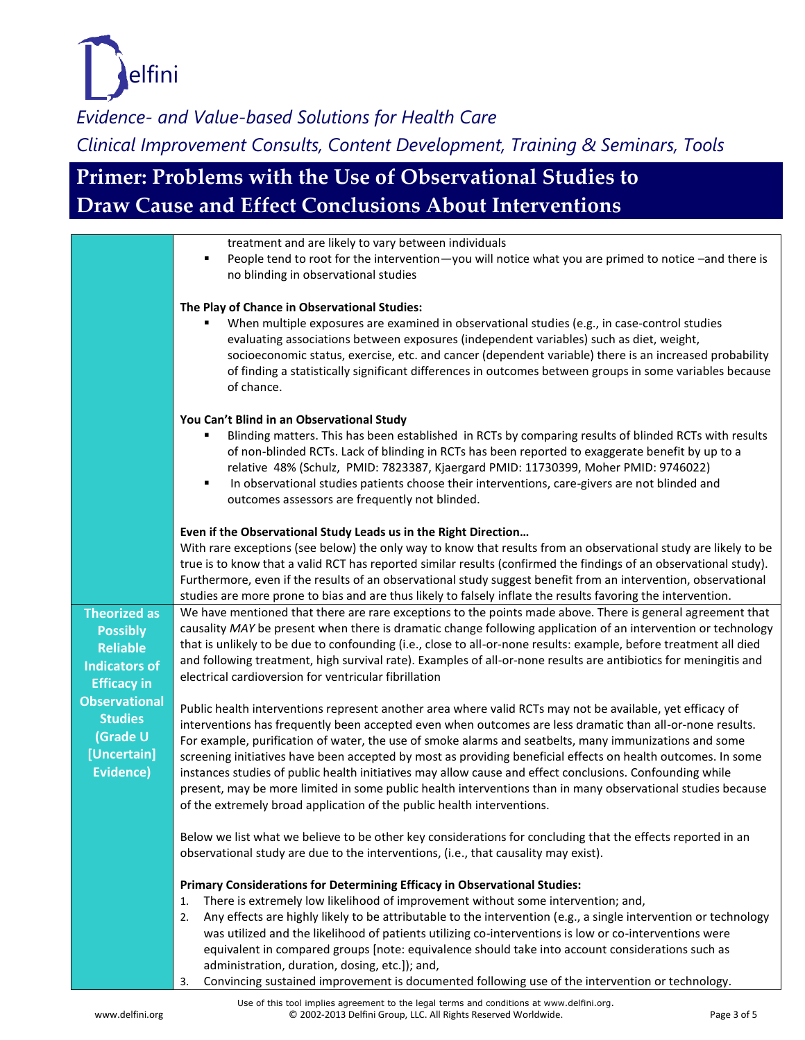

# **Primer: Problems with the Use of Observational Studies to Draw Cause and Effect Conclusions About Interventions**

|                                                                                                         | treatment and are likely to vary between individuals<br>People tend to root for the intervention-you will notice what you are primed to notice -and there is<br>٠<br>no blinding in observational studies                                                                                                                                                                                                                                                                                                                                                                                                                                                                                                                                             |
|---------------------------------------------------------------------------------------------------------|-------------------------------------------------------------------------------------------------------------------------------------------------------------------------------------------------------------------------------------------------------------------------------------------------------------------------------------------------------------------------------------------------------------------------------------------------------------------------------------------------------------------------------------------------------------------------------------------------------------------------------------------------------------------------------------------------------------------------------------------------------|
|                                                                                                         | The Play of Chance in Observational Studies:<br>When multiple exposures are examined in observational studies (e.g., in case-control studies<br>evaluating associations between exposures (independent variables) such as diet, weight,<br>socioeconomic status, exercise, etc. and cancer (dependent variable) there is an increased probability<br>of finding a statistically significant differences in outcomes between groups in some variables because<br>of chance.                                                                                                                                                                                                                                                                            |
|                                                                                                         | You Can't Blind in an Observational Study<br>Blinding matters. This has been established in RCTs by comparing results of blinded RCTs with results<br>of non-blinded RCTs. Lack of blinding in RCTs has been reported to exaggerate benefit by up to a<br>relative 48% (Schulz, PMID: 7823387, Kjaergard PMID: 11730399, Moher PMID: 9746022)<br>In observational studies patients choose their interventions, care-givers are not blinded and<br>٠<br>outcomes assessors are frequently not blinded.                                                                                                                                                                                                                                                 |
|                                                                                                         | Even if the Observational Study Leads us in the Right Direction<br>With rare exceptions (see below) the only way to know that results from an observational study are likely to be<br>true is to know that a valid RCT has reported similar results (confirmed the findings of an observational study).<br>Furthermore, even if the results of an observational study suggest benefit from an intervention, observational<br>studies are more prone to bias and are thus likely to falsely inflate the results favoring the intervention.                                                                                                                                                                                                             |
| <b>Theorized as</b><br><b>Possibly</b><br><b>Reliable</b><br><b>Indicators of</b><br><b>Efficacy in</b> | We have mentioned that there are rare exceptions to the points made above. There is general agreement that<br>causality MAY be present when there is dramatic change following application of an intervention or technology<br>that is unlikely to be due to confounding (i.e., close to all-or-none results: example, before treatment all died<br>and following treatment, high survival rate). Examples of all-or-none results are antibiotics for meningitis and<br>electrical cardioversion for ventricular fibrillation                                                                                                                                                                                                                         |
| <b>Observational</b><br><b>Studies</b><br>(Grade U<br>[Uncertain]<br><b>Evidence)</b>                   | Public health interventions represent another area where valid RCTs may not be available, yet efficacy of<br>interventions has frequently been accepted even when outcomes are less dramatic than all-or-none results.<br>For example, purification of water, the use of smoke alarms and seatbelts, many immunizations and some<br>screening initiatives have been accepted by most as providing beneficial effects on health outcomes. In some<br>instances studies of public health initiatives may allow cause and effect conclusions. Confounding while<br>present, may be more limited in some public health interventions than in many observational studies because<br>of the extremely broad application of the public health interventions. |
|                                                                                                         | Below we list what we believe to be other key considerations for concluding that the effects reported in an<br>observational study are due to the interventions, (i.e., that causality may exist).                                                                                                                                                                                                                                                                                                                                                                                                                                                                                                                                                    |
|                                                                                                         | Primary Considerations for Determining Efficacy in Observational Studies:<br>There is extremely low likelihood of improvement without some intervention; and,<br>1.<br>Any effects are highly likely to be attributable to the intervention (e.g., a single intervention or technology<br>2.<br>was utilized and the likelihood of patients utilizing co-interventions is low or co-interventions were<br>equivalent in compared groups [note: equivalence should take into account considerations such as<br>administration, duration, dosing, etc.]); and,                                                                                                                                                                                          |

3. Convincing sustained improvement is documented following use of the intervention or technology.

Use of this tool implies agreement to the legal terms and conditions at www.delfini.org. www.delfini.org entitled as the CD 2002-2013 Delfini Group, LLC. All Rights Reserved Worldwide. Compared Morte 2002-2013 Delfini Group, LLC. All Rights Reserved Worldwide.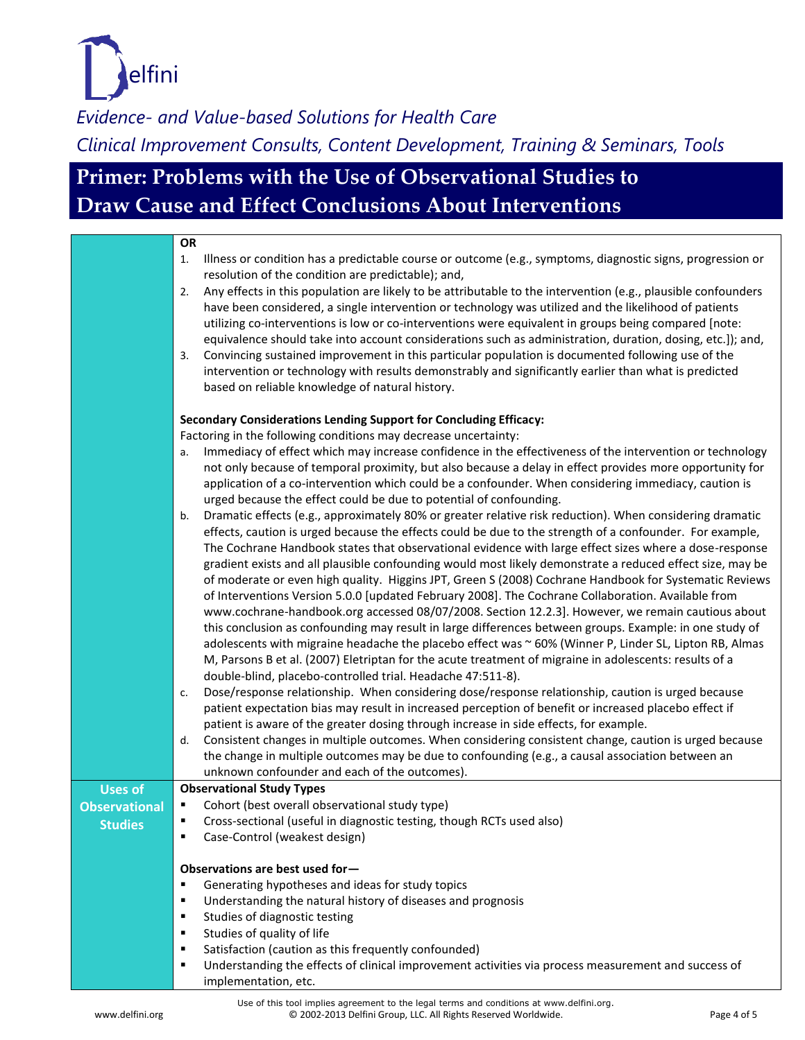

# **Primer: Problems with the Use of Observational Studies to Draw Cause and Effect Conclusions About Interventions**

| <b>OR</b><br>Illness or condition has a predictable course or outcome (e.g., symptoms, diagnostic signs, progression or<br>1.<br>resolution of the condition are predictable); and,<br>Any effects in this population are likely to be attributable to the intervention (e.g., plausible confounders<br>2.<br>have been considered, a single intervention or technology was utilized and the likelihood of patients<br>utilizing co-interventions is low or co-interventions were equivalent in groups being compared [note:<br>equivalence should take into account considerations such as administration, duration, dosing, etc.]); and,<br>Convincing sustained improvement in this particular population is documented following use of the<br>3.<br>intervention or technology with results demonstrably and significantly earlier than what is predicted<br>based on reliable knowledge of natural history.<br>Secondary Considerations Lending Support for Concluding Efficacy:<br>Factoring in the following conditions may decrease uncertainty:<br>Immediacy of effect which may increase confidence in the effectiveness of the intervention or technology<br>а.<br>not only because of temporal proximity, but also because a delay in effect provides more opportunity for<br>application of a co-intervention which could be a confounder. When considering immediacy, caution is<br>urged because the effect could be due to potential of confounding.<br>Dramatic effects (e.g., approximately 80% or greater relative risk reduction). When considering dramatic<br>b.<br>effects, caution is urged because the effects could be due to the strength of a confounder. For example,<br>The Cochrane Handbook states that observational evidence with large effect sizes where a dose-response<br>gradient exists and all plausible confounding would most likely demonstrate a reduced effect size, may be<br>of moderate or even high quality. Higgins JPT, Green S (2008) Cochrane Handbook for Systematic Reviews<br>of Interventions Version 5.0.0 [updated February 2008]. The Cochrane Collaboration. Available from<br>www.cochrane-handbook.org accessed 08/07/2008. Section 12.2.3]. However, we remain cautious about<br>this conclusion as confounding may result in large differences between groups. Example: in one study of<br>adolescents with migraine headache the placebo effect was ~ 60% (Winner P, Linder SL, Lipton RB, Almas<br>M, Parsons B et al. (2007) Eletriptan for the acute treatment of migraine in adolescents: results of a<br>double-blind, placebo-controlled trial. Headache 47:511-8).<br>Dose/response relationship. When considering dose/response relationship, caution is urged because<br>c.<br>patient expectation bias may result in increased perception of benefit or increased placebo effect if<br>patient is aware of the greater dosing through increase in side effects, for example.<br>Consistent changes in multiple outcomes. When considering consistent change, caution is urged because<br>d.<br>the change in multiple outcomes may be due to confounding (e.g., a causal association between an<br>unknown confounder and each of the outcomes).<br><b>Observational Study Types</b><br><b>Uses of</b><br>Cohort (best overall observational study type)<br><b>Observational</b><br>Cross-sectional (useful in diagnostic testing, though RCTs used also)<br><b>Studies</b><br>Case-Control (weakest design)<br>٠<br>Observations are best used for-<br>Generating hypotheses and ideas for study topics<br>٠<br>Understanding the natural history of diseases and prognosis<br>٠<br>Studies of diagnostic testing<br>٠<br>Studies of quality of life<br>٠<br>Satisfaction (caution as this frequently confounded)<br>٠<br>Understanding the effects of clinical improvement activities via process measurement and success of<br>٠ |                      |
|-------------------------------------------------------------------------------------------------------------------------------------------------------------------------------------------------------------------------------------------------------------------------------------------------------------------------------------------------------------------------------------------------------------------------------------------------------------------------------------------------------------------------------------------------------------------------------------------------------------------------------------------------------------------------------------------------------------------------------------------------------------------------------------------------------------------------------------------------------------------------------------------------------------------------------------------------------------------------------------------------------------------------------------------------------------------------------------------------------------------------------------------------------------------------------------------------------------------------------------------------------------------------------------------------------------------------------------------------------------------------------------------------------------------------------------------------------------------------------------------------------------------------------------------------------------------------------------------------------------------------------------------------------------------------------------------------------------------------------------------------------------------------------------------------------------------------------------------------------------------------------------------------------------------------------------------------------------------------------------------------------------------------------------------------------------------------------------------------------------------------------------------------------------------------------------------------------------------------------------------------------------------------------------------------------------------------------------------------------------------------------------------------------------------------------------------------------------------------------------------------------------------------------------------------------------------------------------------------------------------------------------------------------------------------------------------------------------------------------------------------------------------------------------------------------------------------------------------------------------------------------------------------------------------------------------------------------------------------------------------------------------------------------------------------------------------------------------------------------------------------------------------------------------------------------------------------------------------------------------------------------------------------------------------------------------------------------------------------------------------------------------------------------------------------------------------------------------------------------------------------------------------------------------------------------------------------------------------------------------------------------------------------------------------------------------------------------------------------------------------------------------------------------------------------------------------------------------------------------------------------------------------------------------------|----------------------|
|                                                                                                                                                                                                                                                                                                                                                                                                                                                                                                                                                                                                                                                                                                                                                                                                                                                                                                                                                                                                                                                                                                                                                                                                                                                                                                                                                                                                                                                                                                                                                                                                                                                                                                                                                                                                                                                                                                                                                                                                                                                                                                                                                                                                                                                                                                                                                                                                                                                                                                                                                                                                                                                                                                                                                                                                                                                                                                                                                                                                                                                                                                                                                                                                                                                                                                                                                                                                                                                                                                                                                                                                                                                                                                                                                                                                                                                                                                                   |                      |
|                                                                                                                                                                                                                                                                                                                                                                                                                                                                                                                                                                                                                                                                                                                                                                                                                                                                                                                                                                                                                                                                                                                                                                                                                                                                                                                                                                                                                                                                                                                                                                                                                                                                                                                                                                                                                                                                                                                                                                                                                                                                                                                                                                                                                                                                                                                                                                                                                                                                                                                                                                                                                                                                                                                                                                                                                                                                                                                                                                                                                                                                                                                                                                                                                                                                                                                                                                                                                                                                                                                                                                                                                                                                                                                                                                                                                                                                                                                   |                      |
|                                                                                                                                                                                                                                                                                                                                                                                                                                                                                                                                                                                                                                                                                                                                                                                                                                                                                                                                                                                                                                                                                                                                                                                                                                                                                                                                                                                                                                                                                                                                                                                                                                                                                                                                                                                                                                                                                                                                                                                                                                                                                                                                                                                                                                                                                                                                                                                                                                                                                                                                                                                                                                                                                                                                                                                                                                                                                                                                                                                                                                                                                                                                                                                                                                                                                                                                                                                                                                                                                                                                                                                                                                                                                                                                                                                                                                                                                                                   |                      |
|                                                                                                                                                                                                                                                                                                                                                                                                                                                                                                                                                                                                                                                                                                                                                                                                                                                                                                                                                                                                                                                                                                                                                                                                                                                                                                                                                                                                                                                                                                                                                                                                                                                                                                                                                                                                                                                                                                                                                                                                                                                                                                                                                                                                                                                                                                                                                                                                                                                                                                                                                                                                                                                                                                                                                                                                                                                                                                                                                                                                                                                                                                                                                                                                                                                                                                                                                                                                                                                                                                                                                                                                                                                                                                                                                                                                                                                                                                                   |                      |
|                                                                                                                                                                                                                                                                                                                                                                                                                                                                                                                                                                                                                                                                                                                                                                                                                                                                                                                                                                                                                                                                                                                                                                                                                                                                                                                                                                                                                                                                                                                                                                                                                                                                                                                                                                                                                                                                                                                                                                                                                                                                                                                                                                                                                                                                                                                                                                                                                                                                                                                                                                                                                                                                                                                                                                                                                                                                                                                                                                                                                                                                                                                                                                                                                                                                                                                                                                                                                                                                                                                                                                                                                                                                                                                                                                                                                                                                                                                   |                      |
|                                                                                                                                                                                                                                                                                                                                                                                                                                                                                                                                                                                                                                                                                                                                                                                                                                                                                                                                                                                                                                                                                                                                                                                                                                                                                                                                                                                                                                                                                                                                                                                                                                                                                                                                                                                                                                                                                                                                                                                                                                                                                                                                                                                                                                                                                                                                                                                                                                                                                                                                                                                                                                                                                                                                                                                                                                                                                                                                                                                                                                                                                                                                                                                                                                                                                                                                                                                                                                                                                                                                                                                                                                                                                                                                                                                                                                                                                                                   |                      |
|                                                                                                                                                                                                                                                                                                                                                                                                                                                                                                                                                                                                                                                                                                                                                                                                                                                                                                                                                                                                                                                                                                                                                                                                                                                                                                                                                                                                                                                                                                                                                                                                                                                                                                                                                                                                                                                                                                                                                                                                                                                                                                                                                                                                                                                                                                                                                                                                                                                                                                                                                                                                                                                                                                                                                                                                                                                                                                                                                                                                                                                                                                                                                                                                                                                                                                                                                                                                                                                                                                                                                                                                                                                                                                                                                                                                                                                                                                                   |                      |
|                                                                                                                                                                                                                                                                                                                                                                                                                                                                                                                                                                                                                                                                                                                                                                                                                                                                                                                                                                                                                                                                                                                                                                                                                                                                                                                                                                                                                                                                                                                                                                                                                                                                                                                                                                                                                                                                                                                                                                                                                                                                                                                                                                                                                                                                                                                                                                                                                                                                                                                                                                                                                                                                                                                                                                                                                                                                                                                                                                                                                                                                                                                                                                                                                                                                                                                                                                                                                                                                                                                                                                                                                                                                                                                                                                                                                                                                                                                   |                      |
|                                                                                                                                                                                                                                                                                                                                                                                                                                                                                                                                                                                                                                                                                                                                                                                                                                                                                                                                                                                                                                                                                                                                                                                                                                                                                                                                                                                                                                                                                                                                                                                                                                                                                                                                                                                                                                                                                                                                                                                                                                                                                                                                                                                                                                                                                                                                                                                                                                                                                                                                                                                                                                                                                                                                                                                                                                                                                                                                                                                                                                                                                                                                                                                                                                                                                                                                                                                                                                                                                                                                                                                                                                                                                                                                                                                                                                                                                                                   |                      |
|                                                                                                                                                                                                                                                                                                                                                                                                                                                                                                                                                                                                                                                                                                                                                                                                                                                                                                                                                                                                                                                                                                                                                                                                                                                                                                                                                                                                                                                                                                                                                                                                                                                                                                                                                                                                                                                                                                                                                                                                                                                                                                                                                                                                                                                                                                                                                                                                                                                                                                                                                                                                                                                                                                                                                                                                                                                                                                                                                                                                                                                                                                                                                                                                                                                                                                                                                                                                                                                                                                                                                                                                                                                                                                                                                                                                                                                                                                                   |                      |
|                                                                                                                                                                                                                                                                                                                                                                                                                                                                                                                                                                                                                                                                                                                                                                                                                                                                                                                                                                                                                                                                                                                                                                                                                                                                                                                                                                                                                                                                                                                                                                                                                                                                                                                                                                                                                                                                                                                                                                                                                                                                                                                                                                                                                                                                                                                                                                                                                                                                                                                                                                                                                                                                                                                                                                                                                                                                                                                                                                                                                                                                                                                                                                                                                                                                                                                                                                                                                                                                                                                                                                                                                                                                                                                                                                                                                                                                                                                   |                      |
|                                                                                                                                                                                                                                                                                                                                                                                                                                                                                                                                                                                                                                                                                                                                                                                                                                                                                                                                                                                                                                                                                                                                                                                                                                                                                                                                                                                                                                                                                                                                                                                                                                                                                                                                                                                                                                                                                                                                                                                                                                                                                                                                                                                                                                                                                                                                                                                                                                                                                                                                                                                                                                                                                                                                                                                                                                                                                                                                                                                                                                                                                                                                                                                                                                                                                                                                                                                                                                                                                                                                                                                                                                                                                                                                                                                                                                                                                                                   |                      |
|                                                                                                                                                                                                                                                                                                                                                                                                                                                                                                                                                                                                                                                                                                                                                                                                                                                                                                                                                                                                                                                                                                                                                                                                                                                                                                                                                                                                                                                                                                                                                                                                                                                                                                                                                                                                                                                                                                                                                                                                                                                                                                                                                                                                                                                                                                                                                                                                                                                                                                                                                                                                                                                                                                                                                                                                                                                                                                                                                                                                                                                                                                                                                                                                                                                                                                                                                                                                                                                                                                                                                                                                                                                                                                                                                                                                                                                                                                                   |                      |
|                                                                                                                                                                                                                                                                                                                                                                                                                                                                                                                                                                                                                                                                                                                                                                                                                                                                                                                                                                                                                                                                                                                                                                                                                                                                                                                                                                                                                                                                                                                                                                                                                                                                                                                                                                                                                                                                                                                                                                                                                                                                                                                                                                                                                                                                                                                                                                                                                                                                                                                                                                                                                                                                                                                                                                                                                                                                                                                                                                                                                                                                                                                                                                                                                                                                                                                                                                                                                                                                                                                                                                                                                                                                                                                                                                                                                                                                                                                   |                      |
|                                                                                                                                                                                                                                                                                                                                                                                                                                                                                                                                                                                                                                                                                                                                                                                                                                                                                                                                                                                                                                                                                                                                                                                                                                                                                                                                                                                                                                                                                                                                                                                                                                                                                                                                                                                                                                                                                                                                                                                                                                                                                                                                                                                                                                                                                                                                                                                                                                                                                                                                                                                                                                                                                                                                                                                                                                                                                                                                                                                                                                                                                                                                                                                                                                                                                                                                                                                                                                                                                                                                                                                                                                                                                                                                                                                                                                                                                                                   |                      |
|                                                                                                                                                                                                                                                                                                                                                                                                                                                                                                                                                                                                                                                                                                                                                                                                                                                                                                                                                                                                                                                                                                                                                                                                                                                                                                                                                                                                                                                                                                                                                                                                                                                                                                                                                                                                                                                                                                                                                                                                                                                                                                                                                                                                                                                                                                                                                                                                                                                                                                                                                                                                                                                                                                                                                                                                                                                                                                                                                                                                                                                                                                                                                                                                                                                                                                                                                                                                                                                                                                                                                                                                                                                                                                                                                                                                                                                                                                                   |                      |
|                                                                                                                                                                                                                                                                                                                                                                                                                                                                                                                                                                                                                                                                                                                                                                                                                                                                                                                                                                                                                                                                                                                                                                                                                                                                                                                                                                                                                                                                                                                                                                                                                                                                                                                                                                                                                                                                                                                                                                                                                                                                                                                                                                                                                                                                                                                                                                                                                                                                                                                                                                                                                                                                                                                                                                                                                                                                                                                                                                                                                                                                                                                                                                                                                                                                                                                                                                                                                                                                                                                                                                                                                                                                                                                                                                                                                                                                                                                   |                      |
|                                                                                                                                                                                                                                                                                                                                                                                                                                                                                                                                                                                                                                                                                                                                                                                                                                                                                                                                                                                                                                                                                                                                                                                                                                                                                                                                                                                                                                                                                                                                                                                                                                                                                                                                                                                                                                                                                                                                                                                                                                                                                                                                                                                                                                                                                                                                                                                                                                                                                                                                                                                                                                                                                                                                                                                                                                                                                                                                                                                                                                                                                                                                                                                                                                                                                                                                                                                                                                                                                                                                                                                                                                                                                                                                                                                                                                                                                                                   |                      |
|                                                                                                                                                                                                                                                                                                                                                                                                                                                                                                                                                                                                                                                                                                                                                                                                                                                                                                                                                                                                                                                                                                                                                                                                                                                                                                                                                                                                                                                                                                                                                                                                                                                                                                                                                                                                                                                                                                                                                                                                                                                                                                                                                                                                                                                                                                                                                                                                                                                                                                                                                                                                                                                                                                                                                                                                                                                                                                                                                                                                                                                                                                                                                                                                                                                                                                                                                                                                                                                                                                                                                                                                                                                                                                                                                                                                                                                                                                                   |                      |
|                                                                                                                                                                                                                                                                                                                                                                                                                                                                                                                                                                                                                                                                                                                                                                                                                                                                                                                                                                                                                                                                                                                                                                                                                                                                                                                                                                                                                                                                                                                                                                                                                                                                                                                                                                                                                                                                                                                                                                                                                                                                                                                                                                                                                                                                                                                                                                                                                                                                                                                                                                                                                                                                                                                                                                                                                                                                                                                                                                                                                                                                                                                                                                                                                                                                                                                                                                                                                                                                                                                                                                                                                                                                                                                                                                                                                                                                                                                   |                      |
|                                                                                                                                                                                                                                                                                                                                                                                                                                                                                                                                                                                                                                                                                                                                                                                                                                                                                                                                                                                                                                                                                                                                                                                                                                                                                                                                                                                                                                                                                                                                                                                                                                                                                                                                                                                                                                                                                                                                                                                                                                                                                                                                                                                                                                                                                                                                                                                                                                                                                                                                                                                                                                                                                                                                                                                                                                                                                                                                                                                                                                                                                                                                                                                                                                                                                                                                                                                                                                                                                                                                                                                                                                                                                                                                                                                                                                                                                                                   |                      |
|                                                                                                                                                                                                                                                                                                                                                                                                                                                                                                                                                                                                                                                                                                                                                                                                                                                                                                                                                                                                                                                                                                                                                                                                                                                                                                                                                                                                                                                                                                                                                                                                                                                                                                                                                                                                                                                                                                                                                                                                                                                                                                                                                                                                                                                                                                                                                                                                                                                                                                                                                                                                                                                                                                                                                                                                                                                                                                                                                                                                                                                                                                                                                                                                                                                                                                                                                                                                                                                                                                                                                                                                                                                                                                                                                                                                                                                                                                                   |                      |
|                                                                                                                                                                                                                                                                                                                                                                                                                                                                                                                                                                                                                                                                                                                                                                                                                                                                                                                                                                                                                                                                                                                                                                                                                                                                                                                                                                                                                                                                                                                                                                                                                                                                                                                                                                                                                                                                                                                                                                                                                                                                                                                                                                                                                                                                                                                                                                                                                                                                                                                                                                                                                                                                                                                                                                                                                                                                                                                                                                                                                                                                                                                                                                                                                                                                                                                                                                                                                                                                                                                                                                                                                                                                                                                                                                                                                                                                                                                   |                      |
|                                                                                                                                                                                                                                                                                                                                                                                                                                                                                                                                                                                                                                                                                                                                                                                                                                                                                                                                                                                                                                                                                                                                                                                                                                                                                                                                                                                                                                                                                                                                                                                                                                                                                                                                                                                                                                                                                                                                                                                                                                                                                                                                                                                                                                                                                                                                                                                                                                                                                                                                                                                                                                                                                                                                                                                                                                                                                                                                                                                                                                                                                                                                                                                                                                                                                                                                                                                                                                                                                                                                                                                                                                                                                                                                                                                                                                                                                                                   |                      |
|                                                                                                                                                                                                                                                                                                                                                                                                                                                                                                                                                                                                                                                                                                                                                                                                                                                                                                                                                                                                                                                                                                                                                                                                                                                                                                                                                                                                                                                                                                                                                                                                                                                                                                                                                                                                                                                                                                                                                                                                                                                                                                                                                                                                                                                                                                                                                                                                                                                                                                                                                                                                                                                                                                                                                                                                                                                                                                                                                                                                                                                                                                                                                                                                                                                                                                                                                                                                                                                                                                                                                                                                                                                                                                                                                                                                                                                                                                                   |                      |
|                                                                                                                                                                                                                                                                                                                                                                                                                                                                                                                                                                                                                                                                                                                                                                                                                                                                                                                                                                                                                                                                                                                                                                                                                                                                                                                                                                                                                                                                                                                                                                                                                                                                                                                                                                                                                                                                                                                                                                                                                                                                                                                                                                                                                                                                                                                                                                                                                                                                                                                                                                                                                                                                                                                                                                                                                                                                                                                                                                                                                                                                                                                                                                                                                                                                                                                                                                                                                                                                                                                                                                                                                                                                                                                                                                                                                                                                                                                   |                      |
|                                                                                                                                                                                                                                                                                                                                                                                                                                                                                                                                                                                                                                                                                                                                                                                                                                                                                                                                                                                                                                                                                                                                                                                                                                                                                                                                                                                                                                                                                                                                                                                                                                                                                                                                                                                                                                                                                                                                                                                                                                                                                                                                                                                                                                                                                                                                                                                                                                                                                                                                                                                                                                                                                                                                                                                                                                                                                                                                                                                                                                                                                                                                                                                                                                                                                                                                                                                                                                                                                                                                                                                                                                                                                                                                                                                                                                                                                                                   |                      |
|                                                                                                                                                                                                                                                                                                                                                                                                                                                                                                                                                                                                                                                                                                                                                                                                                                                                                                                                                                                                                                                                                                                                                                                                                                                                                                                                                                                                                                                                                                                                                                                                                                                                                                                                                                                                                                                                                                                                                                                                                                                                                                                                                                                                                                                                                                                                                                                                                                                                                                                                                                                                                                                                                                                                                                                                                                                                                                                                                                                                                                                                                                                                                                                                                                                                                                                                                                                                                                                                                                                                                                                                                                                                                                                                                                                                                                                                                                                   |                      |
|                                                                                                                                                                                                                                                                                                                                                                                                                                                                                                                                                                                                                                                                                                                                                                                                                                                                                                                                                                                                                                                                                                                                                                                                                                                                                                                                                                                                                                                                                                                                                                                                                                                                                                                                                                                                                                                                                                                                                                                                                                                                                                                                                                                                                                                                                                                                                                                                                                                                                                                                                                                                                                                                                                                                                                                                                                                                                                                                                                                                                                                                                                                                                                                                                                                                                                                                                                                                                                                                                                                                                                                                                                                                                                                                                                                                                                                                                                                   |                      |
|                                                                                                                                                                                                                                                                                                                                                                                                                                                                                                                                                                                                                                                                                                                                                                                                                                                                                                                                                                                                                                                                                                                                                                                                                                                                                                                                                                                                                                                                                                                                                                                                                                                                                                                                                                                                                                                                                                                                                                                                                                                                                                                                                                                                                                                                                                                                                                                                                                                                                                                                                                                                                                                                                                                                                                                                                                                                                                                                                                                                                                                                                                                                                                                                                                                                                                                                                                                                                                                                                                                                                                                                                                                                                                                                                                                                                                                                                                                   |                      |
|                                                                                                                                                                                                                                                                                                                                                                                                                                                                                                                                                                                                                                                                                                                                                                                                                                                                                                                                                                                                                                                                                                                                                                                                                                                                                                                                                                                                                                                                                                                                                                                                                                                                                                                                                                                                                                                                                                                                                                                                                                                                                                                                                                                                                                                                                                                                                                                                                                                                                                                                                                                                                                                                                                                                                                                                                                                                                                                                                                                                                                                                                                                                                                                                                                                                                                                                                                                                                                                                                                                                                                                                                                                                                                                                                                                                                                                                                                                   |                      |
|                                                                                                                                                                                                                                                                                                                                                                                                                                                                                                                                                                                                                                                                                                                                                                                                                                                                                                                                                                                                                                                                                                                                                                                                                                                                                                                                                                                                                                                                                                                                                                                                                                                                                                                                                                                                                                                                                                                                                                                                                                                                                                                                                                                                                                                                                                                                                                                                                                                                                                                                                                                                                                                                                                                                                                                                                                                                                                                                                                                                                                                                                                                                                                                                                                                                                                                                                                                                                                                                                                                                                                                                                                                                                                                                                                                                                                                                                                                   |                      |
|                                                                                                                                                                                                                                                                                                                                                                                                                                                                                                                                                                                                                                                                                                                                                                                                                                                                                                                                                                                                                                                                                                                                                                                                                                                                                                                                                                                                                                                                                                                                                                                                                                                                                                                                                                                                                                                                                                                                                                                                                                                                                                                                                                                                                                                                                                                                                                                                                                                                                                                                                                                                                                                                                                                                                                                                                                                                                                                                                                                                                                                                                                                                                                                                                                                                                                                                                                                                                                                                                                                                                                                                                                                                                                                                                                                                                                                                                                                   |                      |
|                                                                                                                                                                                                                                                                                                                                                                                                                                                                                                                                                                                                                                                                                                                                                                                                                                                                                                                                                                                                                                                                                                                                                                                                                                                                                                                                                                                                                                                                                                                                                                                                                                                                                                                                                                                                                                                                                                                                                                                                                                                                                                                                                                                                                                                                                                                                                                                                                                                                                                                                                                                                                                                                                                                                                                                                                                                                                                                                                                                                                                                                                                                                                                                                                                                                                                                                                                                                                                                                                                                                                                                                                                                                                                                                                                                                                                                                                                                   |                      |
|                                                                                                                                                                                                                                                                                                                                                                                                                                                                                                                                                                                                                                                                                                                                                                                                                                                                                                                                                                                                                                                                                                                                                                                                                                                                                                                                                                                                                                                                                                                                                                                                                                                                                                                                                                                                                                                                                                                                                                                                                                                                                                                                                                                                                                                                                                                                                                                                                                                                                                                                                                                                                                                                                                                                                                                                                                                                                                                                                                                                                                                                                                                                                                                                                                                                                                                                                                                                                                                                                                                                                                                                                                                                                                                                                                                                                                                                                                                   |                      |
|                                                                                                                                                                                                                                                                                                                                                                                                                                                                                                                                                                                                                                                                                                                                                                                                                                                                                                                                                                                                                                                                                                                                                                                                                                                                                                                                                                                                                                                                                                                                                                                                                                                                                                                                                                                                                                                                                                                                                                                                                                                                                                                                                                                                                                                                                                                                                                                                                                                                                                                                                                                                                                                                                                                                                                                                                                                                                                                                                                                                                                                                                                                                                                                                                                                                                                                                                                                                                                                                                                                                                                                                                                                                                                                                                                                                                                                                                                                   |                      |
|                                                                                                                                                                                                                                                                                                                                                                                                                                                                                                                                                                                                                                                                                                                                                                                                                                                                                                                                                                                                                                                                                                                                                                                                                                                                                                                                                                                                                                                                                                                                                                                                                                                                                                                                                                                                                                                                                                                                                                                                                                                                                                                                                                                                                                                                                                                                                                                                                                                                                                                                                                                                                                                                                                                                                                                                                                                                                                                                                                                                                                                                                                                                                                                                                                                                                                                                                                                                                                                                                                                                                                                                                                                                                                                                                                                                                                                                                                                   |                      |
|                                                                                                                                                                                                                                                                                                                                                                                                                                                                                                                                                                                                                                                                                                                                                                                                                                                                                                                                                                                                                                                                                                                                                                                                                                                                                                                                                                                                                                                                                                                                                                                                                                                                                                                                                                                                                                                                                                                                                                                                                                                                                                                                                                                                                                                                                                                                                                                                                                                                                                                                                                                                                                                                                                                                                                                                                                                                                                                                                                                                                                                                                                                                                                                                                                                                                                                                                                                                                                                                                                                                                                                                                                                                                                                                                                                                                                                                                                                   |                      |
|                                                                                                                                                                                                                                                                                                                                                                                                                                                                                                                                                                                                                                                                                                                                                                                                                                                                                                                                                                                                                                                                                                                                                                                                                                                                                                                                                                                                                                                                                                                                                                                                                                                                                                                                                                                                                                                                                                                                                                                                                                                                                                                                                                                                                                                                                                                                                                                                                                                                                                                                                                                                                                                                                                                                                                                                                                                                                                                                                                                                                                                                                                                                                                                                                                                                                                                                                                                                                                                                                                                                                                                                                                                                                                                                                                                                                                                                                                                   |                      |
|                                                                                                                                                                                                                                                                                                                                                                                                                                                                                                                                                                                                                                                                                                                                                                                                                                                                                                                                                                                                                                                                                                                                                                                                                                                                                                                                                                                                                                                                                                                                                                                                                                                                                                                                                                                                                                                                                                                                                                                                                                                                                                                                                                                                                                                                                                                                                                                                                                                                                                                                                                                                                                                                                                                                                                                                                                                                                                                                                                                                                                                                                                                                                                                                                                                                                                                                                                                                                                                                                                                                                                                                                                                                                                                                                                                                                                                                                                                   |                      |
|                                                                                                                                                                                                                                                                                                                                                                                                                                                                                                                                                                                                                                                                                                                                                                                                                                                                                                                                                                                                                                                                                                                                                                                                                                                                                                                                                                                                                                                                                                                                                                                                                                                                                                                                                                                                                                                                                                                                                                                                                                                                                                                                                                                                                                                                                                                                                                                                                                                                                                                                                                                                                                                                                                                                                                                                                                                                                                                                                                                                                                                                                                                                                                                                                                                                                                                                                                                                                                                                                                                                                                                                                                                                                                                                                                                                                                                                                                                   |                      |
|                                                                                                                                                                                                                                                                                                                                                                                                                                                                                                                                                                                                                                                                                                                                                                                                                                                                                                                                                                                                                                                                                                                                                                                                                                                                                                                                                                                                                                                                                                                                                                                                                                                                                                                                                                                                                                                                                                                                                                                                                                                                                                                                                                                                                                                                                                                                                                                                                                                                                                                                                                                                                                                                                                                                                                                                                                                                                                                                                                                                                                                                                                                                                                                                                                                                                                                                                                                                                                                                                                                                                                                                                                                                                                                                                                                                                                                                                                                   |                      |
|                                                                                                                                                                                                                                                                                                                                                                                                                                                                                                                                                                                                                                                                                                                                                                                                                                                                                                                                                                                                                                                                                                                                                                                                                                                                                                                                                                                                                                                                                                                                                                                                                                                                                                                                                                                                                                                                                                                                                                                                                                                                                                                                                                                                                                                                                                                                                                                                                                                                                                                                                                                                                                                                                                                                                                                                                                                                                                                                                                                                                                                                                                                                                                                                                                                                                                                                                                                                                                                                                                                                                                                                                                                                                                                                                                                                                                                                                                                   |                      |
|                                                                                                                                                                                                                                                                                                                                                                                                                                                                                                                                                                                                                                                                                                                                                                                                                                                                                                                                                                                                                                                                                                                                                                                                                                                                                                                                                                                                                                                                                                                                                                                                                                                                                                                                                                                                                                                                                                                                                                                                                                                                                                                                                                                                                                                                                                                                                                                                                                                                                                                                                                                                                                                                                                                                                                                                                                                                                                                                                                                                                                                                                                                                                                                                                                                                                                                                                                                                                                                                                                                                                                                                                                                                                                                                                                                                                                                                                                                   |                      |
|                                                                                                                                                                                                                                                                                                                                                                                                                                                                                                                                                                                                                                                                                                                                                                                                                                                                                                                                                                                                                                                                                                                                                                                                                                                                                                                                                                                                                                                                                                                                                                                                                                                                                                                                                                                                                                                                                                                                                                                                                                                                                                                                                                                                                                                                                                                                                                                                                                                                                                                                                                                                                                                                                                                                                                                                                                                                                                                                                                                                                                                                                                                                                                                                                                                                                                                                                                                                                                                                                                                                                                                                                                                                                                                                                                                                                                                                                                                   |                      |
|                                                                                                                                                                                                                                                                                                                                                                                                                                                                                                                                                                                                                                                                                                                                                                                                                                                                                                                                                                                                                                                                                                                                                                                                                                                                                                                                                                                                                                                                                                                                                                                                                                                                                                                                                                                                                                                                                                                                                                                                                                                                                                                                                                                                                                                                                                                                                                                                                                                                                                                                                                                                                                                                                                                                                                                                                                                                                                                                                                                                                                                                                                                                                                                                                                                                                                                                                                                                                                                                                                                                                                                                                                                                                                                                                                                                                                                                                                                   |                      |
|                                                                                                                                                                                                                                                                                                                                                                                                                                                                                                                                                                                                                                                                                                                                                                                                                                                                                                                                                                                                                                                                                                                                                                                                                                                                                                                                                                                                                                                                                                                                                                                                                                                                                                                                                                                                                                                                                                                                                                                                                                                                                                                                                                                                                                                                                                                                                                                                                                                                                                                                                                                                                                                                                                                                                                                                                                                                                                                                                                                                                                                                                                                                                                                                                                                                                                                                                                                                                                                                                                                                                                                                                                                                                                                                                                                                                                                                                                                   |                      |
|                                                                                                                                                                                                                                                                                                                                                                                                                                                                                                                                                                                                                                                                                                                                                                                                                                                                                                                                                                                                                                                                                                                                                                                                                                                                                                                                                                                                                                                                                                                                                                                                                                                                                                                                                                                                                                                                                                                                                                                                                                                                                                                                                                                                                                                                                                                                                                                                                                                                                                                                                                                                                                                                                                                                                                                                                                                                                                                                                                                                                                                                                                                                                                                                                                                                                                                                                                                                                                                                                                                                                                                                                                                                                                                                                                                                                                                                                                                   |                      |
|                                                                                                                                                                                                                                                                                                                                                                                                                                                                                                                                                                                                                                                                                                                                                                                                                                                                                                                                                                                                                                                                                                                                                                                                                                                                                                                                                                                                                                                                                                                                                                                                                                                                                                                                                                                                                                                                                                                                                                                                                                                                                                                                                                                                                                                                                                                                                                                                                                                                                                                                                                                                                                                                                                                                                                                                                                                                                                                                                                                                                                                                                                                                                                                                                                                                                                                                                                                                                                                                                                                                                                                                                                                                                                                                                                                                                                                                                                                   | implementation, etc. |

Use of this tool implies agreement to the legal terms and conditions at www.delfini.org. www.delfini.org entitled as a metal of 5 2002-2013 Delfini Group, LLC. All Rights Reserved Worldwide.